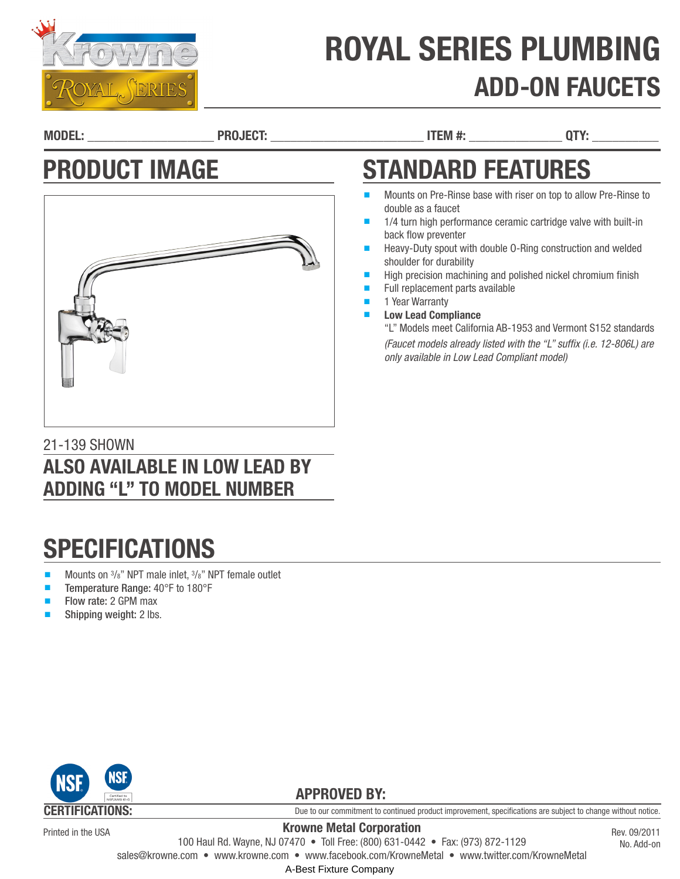

# ROYAL SERIES PLUMBING ADD-ON FAUCETS

STANDARD FEATURES

*only available in Low Lead Compliant model)*

Mounts on Pre-Rinse base with riser on top to allow Pre-Rinse to

1/4 turn high performance ceramic cartridge valve with built-in

Heavy-Duty spout with double 0-Ring construction and welded

High precision machining and polished nickel chromium finish

"L" Models meet California AB-1953 and Vermont S152 standards *(Faucet models already listed with the "L" suffix (i.e. 12-806L) are* 

MODEL: \_\_\_\_\_\_\_\_\_\_\_\_\_\_\_\_\_\_\_ PROJECT: \_\_\_\_\_\_\_\_\_\_\_\_\_\_\_\_\_\_\_\_\_\_\_ ITEM #: \_\_\_\_\_\_\_\_\_\_\_\_\_\_ QTY: \_\_\_\_\_\_\_\_\_\_

double as a faucet

back flow preventer

shoulder for durability

1 Year Warranty **Low Lead Compliance** 

Full replacement parts available

## PRODUCT IMAGE



### 21-139 SHOWN ALSO AVAILABLE IN LOW LEAD BY ADDING "L" TO MODEL NUMBER

## **SPECIFICATIONS**

- Mounts on  $\frac{3}{8}$ " NPT male inlet,  $\frac{3}{8}$ " NPT female outlet
- Temperature Range: 40°F to 180°F
- Flow rate: 2 GPM max
- Shipping weight: 2 lbs.



Printed in the USA

Due to our commitment to continued product improvement, specifications are subject to change without notice.

Krowne Metal Corporation 100 Haul Rd. Wayne, NJ 07470 • Toll Free: (800) 631-0442 • Fax: (973) 872-1129

Rev. 09/2011 No. Add-on

sales@krowne.com • www.krowne.com • www.facebook.com/KrowneMetal • www.twitter.com/KrowneMetal

A-Best Fixture Company